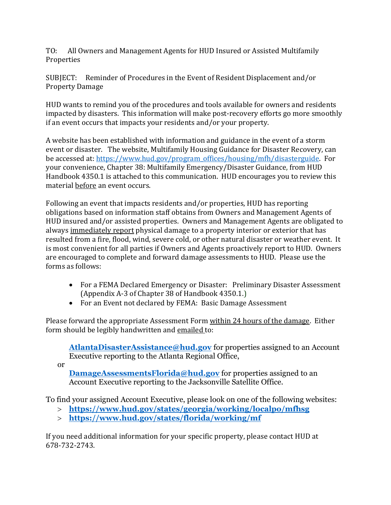TO: All Owners and Management Agents for HUD Insured or Assisted Multifamily Properties

SUBJECT: Reminder of Procedures in the Event of Resident Displacement and/or Property Damage

HUD wants to remind you of the procedures and tools available for owners and residents impacted by disasters. This information will make post-recovery efforts go more smoothly if an event occurs that impacts your residents and/or your property.

A website has been established with information and guidance in the event of a storm event or disaster. The website, Multifamily Housing Guidance for Disaster Recovery, can be accessed at[: https://www.hud.gov/program\\_offices/housing/mfh/disasterguide.](https://www.hud.gov/program_offices/housing/mfh/disasterguide) For your convenience, Chapter 38: Multifamily Emergency/Disaster Guidance, from HUD Handbook 4350.1 is attached to this communication. HUD encourages you to review this material before an event occurs.

Following an event that impacts residents and/or properties, HUD has reporting obligations based on information staff obtains from Owners and Management Agents of HUD insured and/or assisted properties. Owners and Management Agents are obligated to always immediately report physical damage to a property interior or exterior that has resulted from a fire, flood, wind, severe cold, or other natural disaster or weather event. It is most convenient for all parties if Owners and Agents proactively report to HUD. Owners are encouraged to complete and forward damage assessments to HUD. Please use the forms as follows:

- For a FEMA Declared Emergency or Disaster: Preliminary Disaster Assessment (Appendix A-3 of Chapter 38 of Handbook 4350.1.)
- For an Event not declared by FEMA: Basic Damage Assessment

Please forward the appropriate Assessment Form within 24 hours of the damage. Either form should be legibly handwritten and emailed to:

[AtlantaDisasterAssistance@hud.gov](mailto:AtlantaDisasterAssistance@hud.gov) for properties assigned to an Account Executive reporting to the Atlanta Regional Office,

or

**[DamageAssessmentsFlorida@hud.gov](mailto:DamageAssessmentsFlorida@hud.gov)** for properties assigned to an Account Executive reporting to the Jacksonville Satellite Office.

To find your assigned Account Executive, please look on one of the following websites:

- **<https://www.hud.gov/states/georgia/working/localpo/mfhsg>**
- **<https://www.hud.gov/states/florida/working/mf>**

If you need additional information for your specific property, please contact HUD at 678-732-2743.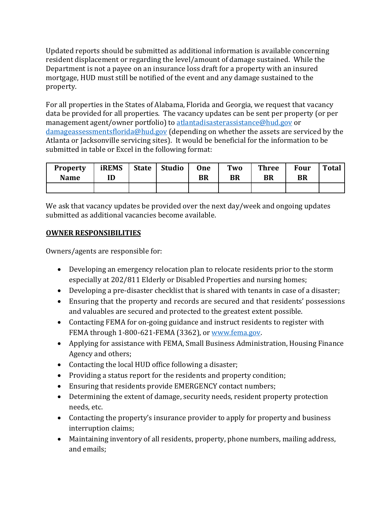Updated reports should be submitted as additional information is available concerning resident displacement or regarding the level/amount of damage sustained. While the Department is not a payee on an insurance loss draft for a property with an insured mortgage, HUD must still be notified of the event and any damage sustained to the property.

For all properties in the States of Alabama, Florida and Georgia, we request that vacancy data be provided for all properties. The vacancy updates can be sent per property (or per management agent/owner portfolio) to [atlantadisasterassistance@hud.gov](mailto:atlantadisasterassistance@hud.gov) or [damageassessmentsflorida@hud.gov](mailto:damageassessmentsflorida@hud.gov) (depending on whether the assets are serviced by the Atlanta or Jacksonville servicing sites). It would be beneficial for the information to be submitted in table or Excel in the following format:

| <b>Property</b><br><b>Name</b> | <b>iREMS</b> | <b>State</b> | <b>Studio</b> | <b>One</b><br>BR | Two<br><b>BR</b> | <b>Three</b><br><b>BR</b> | <b>Four</b><br>BR | <b>Total</b> |
|--------------------------------|--------------|--------------|---------------|------------------|------------------|---------------------------|-------------------|--------------|
|                                |              |              |               |                  |                  |                           |                   |              |

We ask that vacancy updates be provided over the next day/week and ongoing updates submitted as additional vacancies become available.

# **OWNER RESPONSIBILITIES**

Owners/agents are responsible for:

- Developing an emergency relocation plan to relocate residents prior to the storm especially at 202/811 Elderly or Disabled Properties and nursing homes;
- Developing a pre-disaster checklist that is shared with tenants in case of a disaster;
- Ensuring that the property and records are secured and that residents' possessions and valuables are secured and protected to the greatest extent possible.
- Contacting FEMA for on-going guidance and instruct residents to register with FEMA through 1-800-621-FEMA (3362), o[r www.fema.gov.](http://www.fema.gov/)
- Applying for assistance with FEMA, Small Business Administration, Housing Finance Agency and others;
- Contacting the local HUD office following a disaster;
- Providing a status report for the residents and property condition;
- Ensuring that residents provide EMERGENCY contact numbers;
- Determining the extent of damage, security needs, resident property protection needs, etc.
- Contacting the property's insurance provider to apply for property and business interruption claims;
- Maintaining inventory of all residents, property, phone numbers, mailing address, and emails;